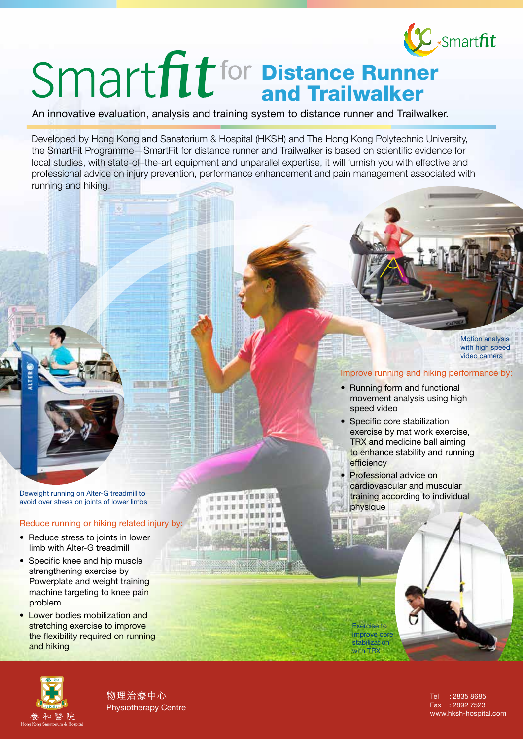

# Distance Runner and Trailwalker

An innovative evaluation, analysis and training system to distance runner and Trailwalker.

Developed by Hong Kong and Sanatorium & Hospital (HKSH) and The Hong Kong Polytechnic University, the SmartFit Programme—SmartFit for distance runner and Trailwalker is based on scientific evidence for local studies, with state-of–the-art equipment and unparallel expertise, it will furnish you with effective and professional advice on injury prevention, performance enhancement and pain management associated with running and hiking.

世界 百 百 百 百 百 百 万

Deweight running on Alter-G treadmill to avoid over stress on joints of lower limbs

- Reduce running or hiking related injury by:
- Reduce stress to joints in lower limb with Alter-G treadmill
- Specific knee and hip muscle strengthening exercise by Powerplate and weight training machine targeting to knee pain problem
- Lower bodies mobilization and stretching exercise to improve the flexibility required on running and hiking



物理治療中心 Physiotherapy Centre

Tel : 2835 8685 Fax : 2892 7523 www.hksh-hospital.com

### Improve running and hiking performance by:

Motion analysis with high speed video camera

- Running form and functional movement analysis using high speed video
- Specific core stabilization exercise by mat work exercise, TRX and medicine ball aiming to enhance stability and running efficiency
- Professional advice on

Exercise to improve core stabilization with TRX

cardiovascular and muscular training according to individual physique